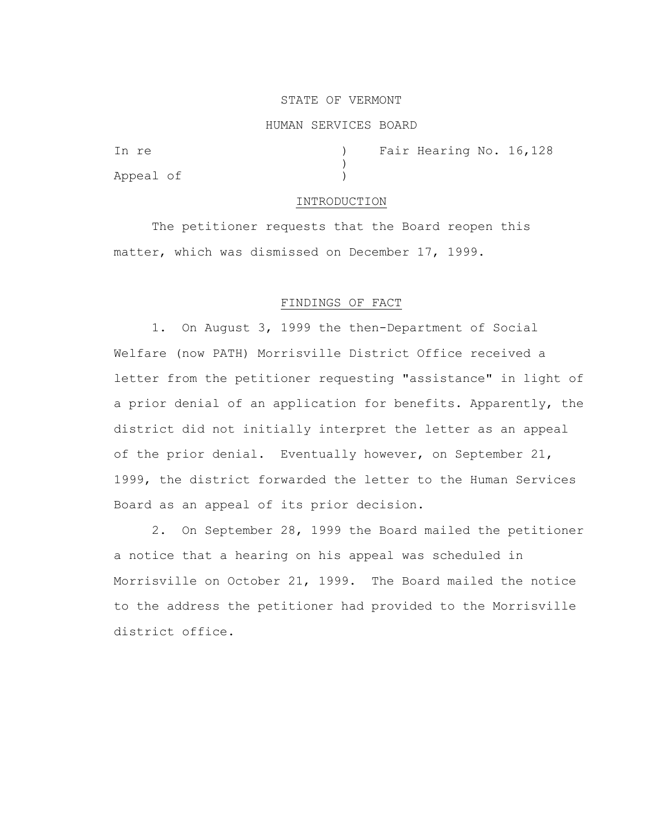# STATE OF VERMONT

### HUMAN SERVICES BOARD

)

Appeal of )

In re (a) Tair Hearing No. 16, 128

#### INTRODUCTION

The petitioner requests that the Board reopen this matter, which was dismissed on December 17, 1999.

# FINDINGS OF FACT

1. On August 3, 1999 the then-Department of Social Welfare (now PATH) Morrisville District Office received a letter from the petitioner requesting "assistance" in light of a prior denial of an application for benefits. Apparently, the district did not initially interpret the letter as an appeal of the prior denial. Eventually however, on September 21, 1999, the district forwarded the letter to the Human Services Board as an appeal of its prior decision.

2. On September 28, 1999 the Board mailed the petitioner a notice that a hearing on his appeal was scheduled in Morrisville on October 21, 1999. The Board mailed the notice to the address the petitioner had provided to the Morrisville district office.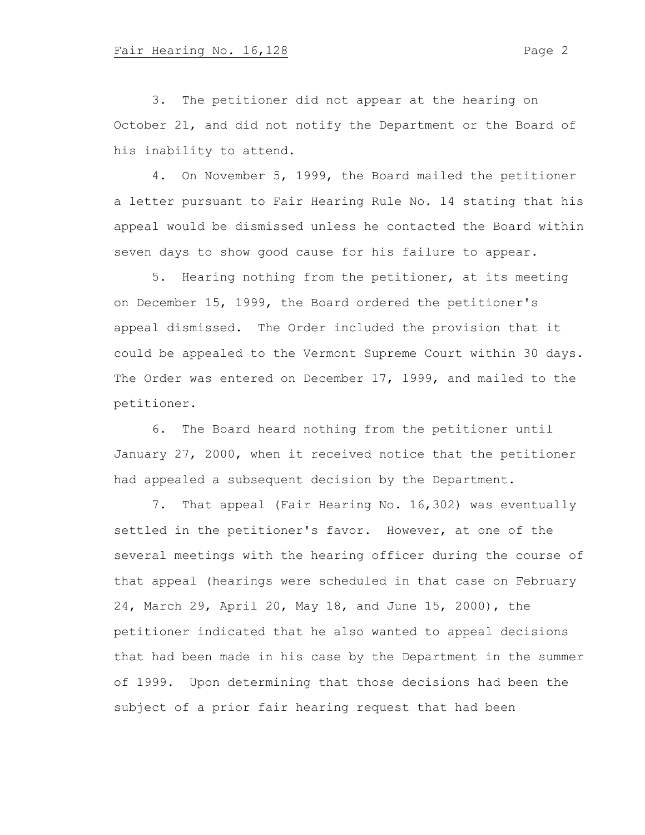3. The petitioner did not appear at the hearing on October 21, and did not notify the Department or the Board of his inability to attend.

4. On November 5, 1999, the Board mailed the petitioner a letter pursuant to Fair Hearing Rule No. 14 stating that his appeal would be dismissed unless he contacted the Board within seven days to show good cause for his failure to appear.

5. Hearing nothing from the petitioner, at its meeting on December 15, 1999, the Board ordered the petitioner's appeal dismissed. The Order included the provision that it could be appealed to the Vermont Supreme Court within 30 days. The Order was entered on December 17, 1999, and mailed to the petitioner.

6. The Board heard nothing from the petitioner until January 27, 2000, when it received notice that the petitioner had appealed a subsequent decision by the Department.

7. That appeal (Fair Hearing No. 16,302) was eventually settled in the petitioner's favor. However, at one of the several meetings with the hearing officer during the course of that appeal (hearings were scheduled in that case on February 24, March 29, April 20, May 18, and June 15, 2000), the petitioner indicated that he also wanted to appeal decisions that had been made in his case by the Department in the summer of 1999. Upon determining that those decisions had been the subject of a prior fair hearing request that had been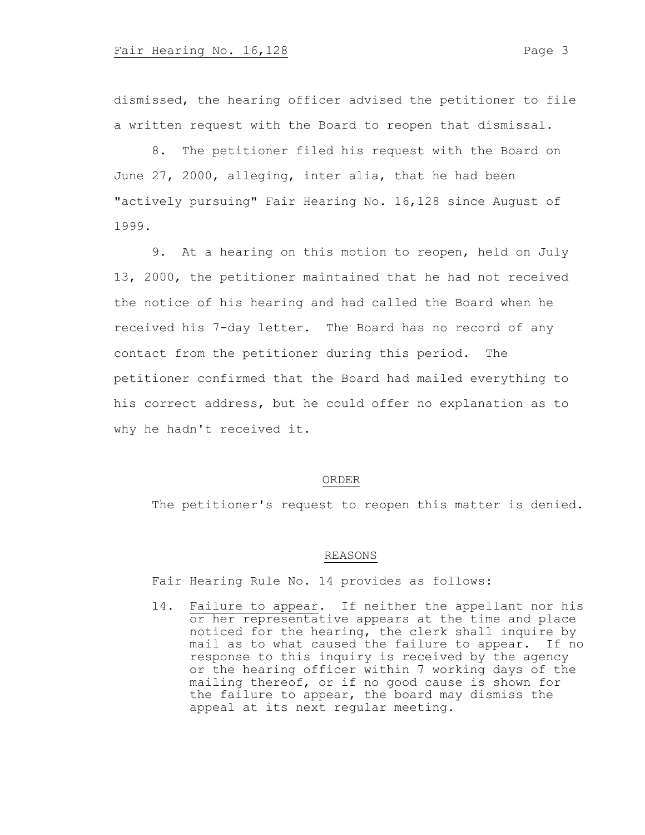dismissed, the hearing officer advised the petitioner to file a written request with the Board to reopen that dismissal.

8. The petitioner filed his request with the Board on June 27, 2000, alleging, inter alia, that he had been "actively pursuing" Fair Hearing No. 16,128 since August of 1999.

9. At a hearing on this motion to reopen, held on July 13, 2000, the petitioner maintained that he had not received the notice of his hearing and had called the Board when he received his 7-day letter. The Board has no record of any contact from the petitioner during this period. The petitioner confirmed that the Board had mailed everything to his correct address, but he could offer no explanation as to why he hadn't received it.

#### ORDER

The petitioner's request to reopen this matter is denied.

### REASONS

Fair Hearing Rule No. 14 provides as follows:

14. Failure to appear. If neither the appellant nor his or her representative appears at the time and place noticed for the hearing, the clerk shall inquire by mail as to what caused the failure to appear. If no response to this inquiry is received by the agency or the hearing officer within 7 working days of the mailing thereof, or if no good cause is shown for the failure to appear, the board may dismiss the appeal at its next regular meeting.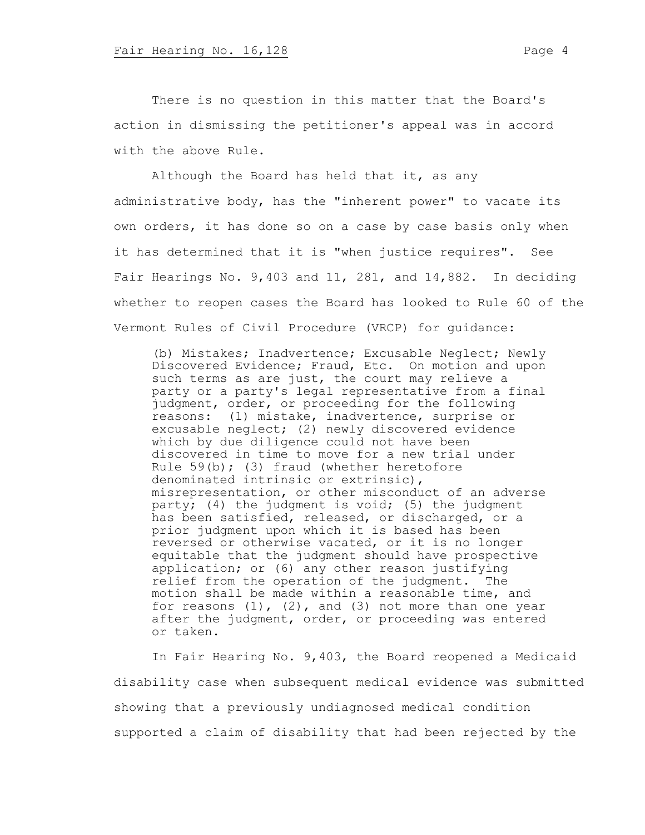There is no question in this matter that the Board's action in dismissing the petitioner's appeal was in accord with the above Rule.

Although the Board has held that it, as any administrative body, has the "inherent power" to vacate its own orders, it has done so on a case by case basis only when it has determined that it is "when justice requires". See Fair Hearings No. 9,403 and 11, 281, and 14,882. In deciding whether to reopen cases the Board has looked to Rule 60 of the Vermont Rules of Civil Procedure (VRCP) for guidance:

(b) Mistakes; Inadvertence; Excusable Neglect; Newly Discovered Evidence; Fraud, Etc. On motion and upon such terms as are just, the court may relieve a party or a party's legal representative from a final judgment, order, or proceeding for the following reasons: (1) mistake, inadvertence, surprise or excusable neglect; (2) newly discovered evidence which by due diligence could not have been discovered in time to move for a new trial under Rule 59(b); (3) fraud (whether heretofore denominated intrinsic or extrinsic), misrepresentation, or other misconduct of an adverse party; (4) the judgment is void; (5) the judgment has been satisfied, released, or discharged, or a prior judgment upon which it is based has been reversed or otherwise vacated, or it is no longer equitable that the judgment should have prospective application; or (6) any other reason justifying relief from the operation of the judgment. The motion shall be made within a reasonable time, and for reasons  $(1)$ ,  $(2)$ , and  $(3)$  not more than one year after the judgment, order, or proceeding was entered or taken.

In Fair Hearing No. 9,403, the Board reopened a Medicaid disability case when subsequent medical evidence was submitted showing that a previously undiagnosed medical condition supported a claim of disability that had been rejected by the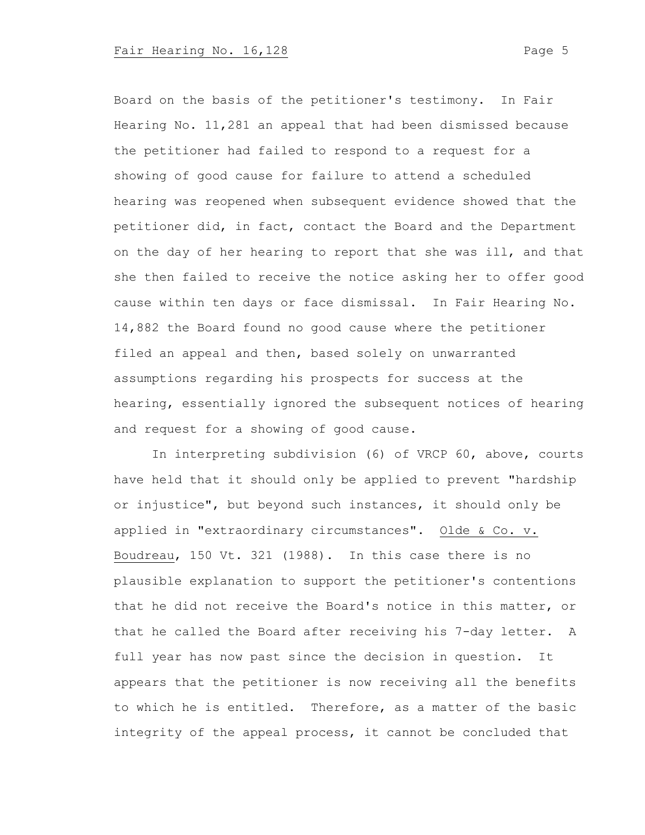Board on the basis of the petitioner's testimony. In Fair Hearing No. 11,281 an appeal that had been dismissed because the petitioner had failed to respond to a request for a showing of good cause for failure to attend a scheduled hearing was reopened when subsequent evidence showed that the petitioner did, in fact, contact the Board and the Department on the day of her hearing to report that she was ill, and that she then failed to receive the notice asking her to offer good cause within ten days or face dismissal. In Fair Hearing No. 14,882 the Board found no good cause where the petitioner filed an appeal and then, based solely on unwarranted assumptions regarding his prospects for success at the hearing, essentially ignored the subsequent notices of hearing and request for a showing of good cause.

In interpreting subdivision (6) of VRCP 60, above, courts have held that it should only be applied to prevent "hardship or injustice", but beyond such instances, it should only be applied in "extraordinary circumstances". Olde & Co. v. Boudreau, 150 Vt. 321 (1988). In this case there is no plausible explanation to support the petitioner's contentions that he did not receive the Board's notice in this matter, or that he called the Board after receiving his 7-day letter. A full year has now past since the decision in question. It appears that the petitioner is now receiving all the benefits to which he is entitled. Therefore, as a matter of the basic integrity of the appeal process, it cannot be concluded that